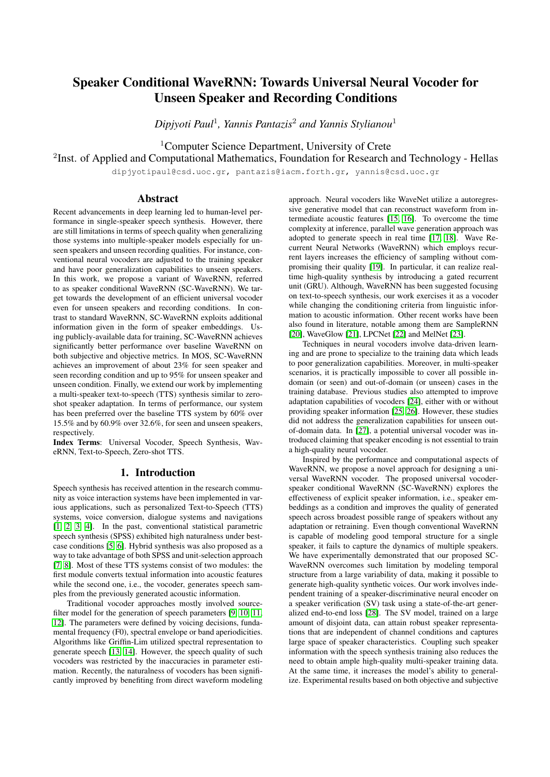# Speaker Conditional WaveRNN: Towards Universal Neural Vocoder for Unseen Speaker and Recording Conditions

*Dipjyoti Paul*<sup>1</sup> *, Yannis Pantazis*<sup>2</sup> *and Yannis Stylianou*<sup>1</sup>

<sup>1</sup>Computer Science Department, University of Crete

<sup>2</sup>Inst. of Applied and Computational Mathematics, Foundation for Research and Technology - Hellas

dipjyotipaul@csd.uoc.gr, pantazis@iacm.forth.gr, yannis@csd.uoc.gr

# Abstract

Recent advancements in deep learning led to human-level performance in single-speaker speech synthesis. However, there are still limitations in terms of speech quality when generalizing those systems into multiple-speaker models especially for unseen speakers and unseen recording qualities. For instance, conventional neural vocoders are adjusted to the training speaker and have poor generalization capabilities to unseen speakers. In this work, we propose a variant of WaveRNN, referred to as speaker conditional WaveRNN (SC-WaveRNN). We target towards the development of an efficient universal vocoder even for unseen speakers and recording conditions. In contrast to standard WaveRNN, SC-WaveRNN exploits additional information given in the form of speaker embeddings. Using publicly-available data for training, SC-WaveRNN achieves significantly better performance over baseline WaveRNN on both subjective and objective metrics. In MOS, SC-WaveRNN achieves an improvement of about 23% for seen speaker and seen recording condition and up to 95% for unseen speaker and unseen condition. Finally, we extend our work by implementing a multi-speaker text-to-speech (TTS) synthesis similar to zeroshot speaker adaptation. In terms of performance, our system has been preferred over the baseline TTS system by 60% over 15.5% and by 60.9% over 32.6%, for seen and unseen speakers, respectively.

Index Terms: Universal Vocoder, Speech Synthesis, WaveRNN, Text-to-Speech, Zero-shot TTS.

# 1. Introduction

Speech synthesis has received attention in the research community as voice interaction systems have been implemented in various applications, such as personalized Text-to-Speech (TTS) systems, voice conversion, dialogue systems and navigations [\[1,](#page-4-0) [2,](#page-4-1) [3,](#page-4-2) [4\]](#page-4-3). In the past, conventional statistical parametric speech synthesis (SPSS) exhibited high naturalness under bestcase conditions [\[5,](#page-4-4) [6\]](#page-4-5). Hybrid synthesis was also proposed as a way to take advantage of both SPSS and unit-selection approach [\[7,](#page-4-6) [8\]](#page-4-7). Most of these TTS systems consist of two modules: the first module converts textual information into acoustic features while the second one, i.e., the vocoder, generates speech samples from the previously generated acoustic information.

Traditional vocoder approaches mostly involved sourcefilter model for the generation of speech parameters [\[9,](#page-4-8) [10,](#page-4-9) [11,](#page-4-10) [12\]](#page-4-11). The parameters were defined by voicing decisions, fundamental frequency (F0), spectral envelope or band aperiodicities. Algorithms like Griffin-Lim utilized spectral representation to generate speech [\[13,](#page-4-12) [14\]](#page-4-13). However, the speech quality of such vocoders was restricted by the inaccuracies in parameter estimation. Recently, the naturalness of vocoders has been significantly improved by benefiting from direct waveform modeling approach. Neural vocoders like WaveNet utilize a autoregressive generative model that can reconstruct waveform from intermediate acoustic features [\[15,](#page-4-14) [16\]](#page-4-15). To overcome the time complexity at inference, parallel wave generation approach was adopted to generate speech in real time [\[17,](#page-4-16) [18\]](#page-4-17). Wave Recurrent Neural Networks (WaveRNN) which employs recurrent layers increases the efficiency of sampling without compromising their quality [\[19\]](#page-4-18). In particular, it can realize realtime high-quality synthesis by introducing a gated recurrent unit (GRU). Although, WaveRNN has been suggested focusing on text-to-speech synthesis, our work exercises it as a vocoder while changing the conditioning criteria from linguistic information to acoustic information. Other recent works have been also found in literature, notable among them are SampleRNN [\[20\]](#page-4-19), WaveGlow [\[21\]](#page-4-20), LPCNet [\[22\]](#page-4-21) and MelNet [\[23\]](#page-4-22).

Techniques in neural vocoders involve data-driven learning and are prone to specialize to the training data which leads to poor generalization capabilities. Moreover, in multi-speaker scenarios, it is practically impossible to cover all possible indomain (or seen) and out-of-domain (or unseen) cases in the training database. Previous studies also attempted to improve adaptation capabilities of vocoders [\[24\]](#page-4-23), either with or without providing speaker information [\[25,](#page-4-24) [26\]](#page-4-25). However, these studies did not address the generalization capabilities for unseen outof-domain data. In [\[27\]](#page-4-26), a potential universal vocoder was introduced claiming that speaker encoding is not essential to train a high-quality neural vocoder.

Inspired by the performance and computational aspects of WaveRNN, we propose a novel approach for designing a universal WaveRNN vocoder. The proposed universal vocoderspeaker conditional WaveRNN (SC-WaveRNN) explores the effectiveness of explicit speaker information, i.e., speaker embeddings as a condition and improves the quality of generated speech across broadest possible range of speakers without any adaptation or retraining. Even though conventional WaveRNN is capable of modeling good temporal structure for a single speaker, it fails to capture the dynamics of multiple speakers. We have experimentally demonstrated that our proposed SC-WaveRNN overcomes such limitation by modeling temporal structure from a large variability of data, making it possible to generate high-quality synthetic voices. Our work involves independent training of a speaker-discriminative neural encoder on a speaker verification (SV) task using a state-of-the-art generalized end-to-end loss [\[28\]](#page-4-27). The SV model, trained on a large amount of disjoint data, can attain robust speaker representations that are independent of channel conditions and captures large space of speaker characteristics. Coupling such speaker information with the speech synthesis training also reduces the need to obtain ample high-quality multi-speaker training data. At the same time, it increases the model's ability to generalize. Experimental results based on both objective and subjective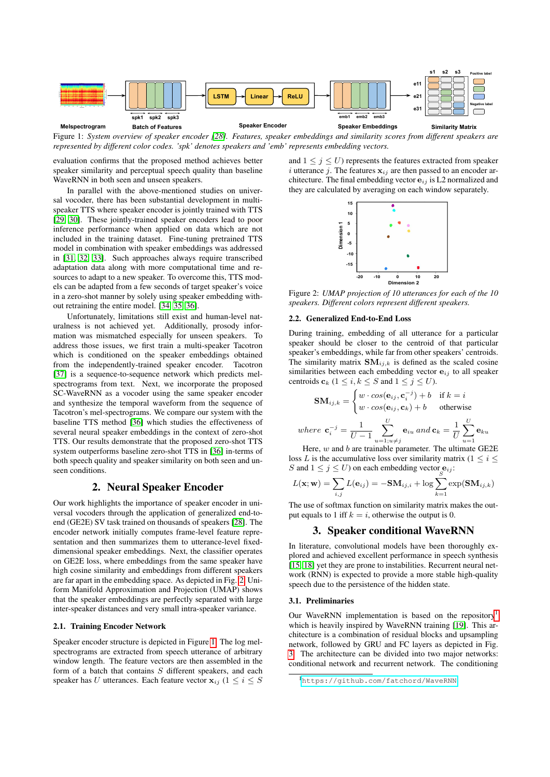<span id="page-1-1"></span>

Figure 1: *System overview of speaker encoder [\[28\]](#page-4-27). Features, speaker embeddings and similarity scores from different speakers are represented by different color codes. 'spk' denotes speakers and 'emb' represents embedding vectors.*

evaluation confirms that the proposed method achieves better speaker similarity and perceptual speech quality than baseline WaveRNN in both seen and unseen speakers.

In parallel with the above-mentioned studies on universal vocoder, there has been substantial development in multispeaker TTS where speaker encoder is jointly trained with TTS [\[29,](#page-4-28) [30\]](#page-4-29). These jointly-trained speaker encoders lead to poor inference performance when applied on data which are not included in the training dataset. Fine-tuning pretrained TTS model in combination with speaker embeddings was addressed in [\[31,](#page-4-30) [32,](#page-4-31) [33\]](#page-4-32). Such approaches always require transcribed adaptation data along with more computational time and resources to adapt to a new speaker. To overcome this, TTS models can be adapted from a few seconds of target speaker's voice in a zero-shot manner by solely using speaker embedding without retraining the entire model. [\[34,](#page-4-33) [35,](#page-4-34) [36\]](#page-4-35).

Unfortunately, limitations still exist and human-level naturalness is not achieved yet. Additionally, prosody information was mismatched especially for unseen speakers. To address those issues, we first train a multi-speaker Tacotron which is conditioned on the speaker embeddings obtained from the independently-trained speaker encoder. Tacotron [\[37\]](#page-4-36) is a sequence-to-sequence network which predicts melspectrograms from text. Next, we incorporate the proposed SC-WaveRNN as a vocoder using the same speaker encoder and synthesize the temporal waveform from the sequence of Tacotron's mel-spectrograms. We compare our system with the baseline TTS method [\[36\]](#page-4-35) which studies the effectiveness of several neural speaker embeddings in the context of zero-shot TTS. Our results demonstrate that the proposed zero-shot TTS system outperforms baseline zero-shot TTS in [\[36\]](#page-4-35) in-terms of both speech quality and speaker similarity on both seen and unseen conditions.

# 2. Neural Speaker Encoder

Our work highlights the importance of speaker encoder in universal vocoders through the application of generalized end-toend (GE2E) SV task trained on thousands of speakers [\[28\]](#page-4-27). The encoder network initially computes frame-level feature representation and then summarizes them to utterance-level fixeddimensional speaker embeddings. Next, the classifier operates on GE2E loss, where embeddings from the same speaker have high cosine similarity and embeddings from different speakers are far apart in the embedding space. As depicted in Fig. [2,](#page-1-0) Uniform Manifold Approximation and Projection (UMAP) shows that the speaker embeddings are perfectly separated with large inter-speaker distances and very small intra-speaker variance.

### 2.1. Training Encoder Network

Speaker encoder structure is depicted in Figure [1.](#page-1-1) The log melspectrograms are extracted from speech utterance of arbitrary window length. The feature vectors are then assembled in the form of a batch that contains S different speakers, and each speaker has U utterances. Each feature vector  $\mathbf{x}_{ij}$  ( $1 \leq i \leq S$ )

<span id="page-1-0"></span>and  $1 \leq j \leq U$ ) represents the features extracted from speaker i utterance j. The features  $x_{ij}$  are then passed to an encoder architecture. The final embedding vector  $e_{ij}$  is L2 normalized and they are calculated by averaging on each window separately.



Figure 2: *UMAP projection of 10 utterances for each of the 10 speakers. Different colors represent different speakers.*

### 2.2. Generalized End-to-End Loss

During training, embedding of all utterance for a particular speaker should be closer to the centroid of that particular speaker's embeddings, while far from other speakers' centroids. The similarity matrix  $SM_{i,j,k}$  is defined as the scaled cosine similarities between each embedding vector  $e_{ij}$  to all speaker centroids  $\mathbf{c}_k$   $(1 \leq i, k \leq S \text{ and } 1 \leq j \leq U)$ .

$$
\mathbf{SM}_{ij,k} = \begin{cases} w \cdot \cos(\mathbf{e}_{ij}, \mathbf{c}_i^{-j}) + b & \text{if } k = i \\ w \cdot \cos(\mathbf{e}_{ij}, \mathbf{c}_k) + b & \text{otherwise} \end{cases}
$$
  
where  $\mathbf{c}_i^{-j} = \frac{1}{U - 1} \sum_{u=1; u \neq j}^{U} \mathbf{e}_{iu}$  and  $\mathbf{c}_k = \frac{1}{U} \sum_{u=1}^{U} \mathbf{e}_{ku}$ 

Here,  $w$  and  $b$  are trainable parameter. The ultimate GE2E loss L is the accumulative loss over similarity matrix ( $1 \leq i \leq$ S and  $1 \le j \le U$ ) on each embedding vector  $\mathbf{e}_{ij}$ :

$$
L(\mathbf{x}; \mathbf{w}) = \sum_{i,j}^{n} L(\mathbf{e}_{ij}) = -\mathbf{S} \mathbf{M}_{ij,i} + \log \sum_{k=1}^{S} \exp(\mathbf{S} \mathbf{M}_{ij,k})
$$

The use of softmax function on similarity matrix makes the output equals to 1 iff  $k = i$ , otherwise the output is 0.

# 3. Speaker conditional WaveRNN

In literature, convolutional models have been thoroughly explored and achieved excellent performance in speech synthesis [\[15,](#page-4-14) [18\]](#page-4-17) yet they are prone to instabilities. Recurrent neural network (RNN) is expected to provide a more stable high-quality speech due to the persistence of the hidden state.

### 3.1. Preliminaries

Our WaveRNN implementation is based on the repository<sup>[1](#page-1-2)</sup> which is heavily inspired by WaveRNN training [\[19\]](#page-4-18). This architecture is a combination of residual blocks and upsampling network, followed by GRU and FC layers as depicted in Fig. [3.](#page-2-0) The architecture can be divided into two major networks: conditional network and recurrent network. The conditioning

<span id="page-1-2"></span><sup>1</sup><https://github.com/fatchord/WaveRNN>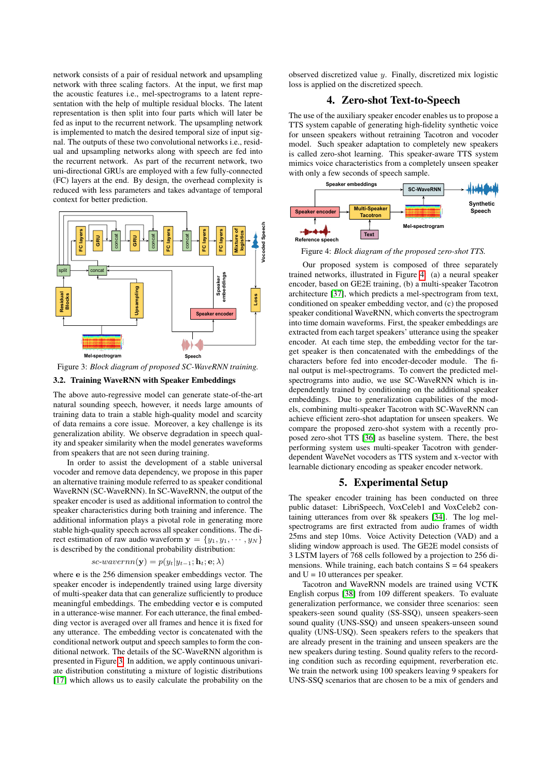network consists of a pair of residual network and upsampling network with three scaling factors. At the input, we first map the acoustic features i.e., mel-spectrograms to a latent representation with the help of multiple residual blocks. The latent representation is then split into four parts which will later be fed as input to the recurrent network. The upsampling network is implemented to match the desired temporal size of input signal. The outputs of these two convolutional networks i.e., residual and upsampling networks along with speech are fed into the recurrent network. As part of the recurrent network, two uni-directional GRUs are employed with a few fully-connected (FC) layers at the end. By design, the overhead complexity is reduced with less parameters and takes advantage of temporal context for better prediction.

<span id="page-2-0"></span>

Figure 3: *Block diagram of proposed SC-WaveRNN training.*

### 3.2. Training WaveRNN with Speaker Embeddings

The above auto-regressive model can generate state-of-the-art natural sounding speech, however, it needs large amounts of training data to train a stable high-quality model and scarcity of data remains a core issue. Moreover, a key challenge is its generalization ability. We observe degradation in speech quality and speaker similarity when the model generates waveforms from speakers that are not seen during training.

In order to assist the development of a stable universal vocoder and remove data dependency, we propose in this paper an alternative training module referred to as speaker conditional WaveRNN (SC-WaveRNN). In SC-WaveRNN, the output of the speaker encoder is used as additional information to control the speaker characteristics during both training and inference. The additional information plays a pivotal role in generating more stable high-quality speech across all speaker conditions. The direct estimation of raw audio waveform  $y = \{y_1, y_1, \dots, y_N\}$ is described by the conditional probability distribution:

#### sc-wavernn(y) =  $p(y_t|y_{t-1}; \mathbf{h}_t; \mathbf{e}; \lambda)$

where e is the 256 dimension speaker embeddings vector. The speaker encoder is independently trained using large diversity of multi-speaker data that can generalize sufficiently to produce meaningful embeddings. The embedding vector e is computed in a utterance-wise manner. For each utterance, the final embedding vector is averaged over all frames and hence it is fixed for any utterance. The embedding vector is concatenated with the conditional network output and speech samples to form the conditional network. The details of the SC-WaveRNN algorithm is presented in Figure [3.](#page-2-0) In addition, we apply continuous univariate distribution constituting a mixture of logistic distributions [\[17\]](#page-4-16) which allows us to easily calculate the probability on the observed discretized value y. Finally, discretized mix logistic loss is applied on the discretized speech.

# 4. Zero-shot Text-to-Speech

The use of the auxiliary speaker encoder enables us to propose a TTS system capable of generating high-fidelity synthetic voice for unseen speakers without retraining Tacotron and vocoder model. Such speaker adaptation to completely new speakers is called zero-shot learning. This speaker-aware TTS system mimics voice characteristics from a completely unseen speaker with only a few seconds of speech sample.

<span id="page-2-1"></span>

Figure 4: *Block diagram of the proposed zero-shot TTS.*

Our proposed system is composed of three separately trained networks, illustrated in Figure [4:](#page-2-1) (a) a neural speaker encoder, based on GE2E training, (b) a multi-speaker Tacotron architecture [\[37\]](#page-4-36), which predicts a mel-spectrogram from text, conditioned on speaker embedding vector, and (c) the proposed speaker conditional WaveRNN, which converts the spectrogram into time domain waveforms. First, the speaker embeddings are extracted from each target speakers' utterance using the speaker encoder. At each time step, the embedding vector for the target speaker is then concatenated with the embeddings of the characters before fed into encoder-decoder module. The final output is mel-spectrograms. To convert the predicted melspectrograms into audio, we use SC-WaveRNN which is independently trained by conditioning on the additional speaker embeddings. Due to generalization capabilities of the models, combining multi-speaker Tacotron with SC-WaveRNN can achieve efficient zero-shot adaptation for unseen speakers. We compare the proposed zero-shot system with a recently proposed zero-shot TTS [\[36\]](#page-4-35) as baseline system. There, the best performing system uses multi-speaker Tacotron with genderdependent WaveNet vocoders as TTS system and x-vector with learnable dictionary encoding as speaker encoder network.

#### 5. Experimental Setup

The speaker encoder training has been conducted on three public dataset: LibriSpeech, VoxCeleb1 and VoxCeleb2 containing utterances from over 8k speakers [\[34\]](#page-4-33). The log melspectrograms are first extracted from audio frames of width 25ms and step 10ms. Voice Activity Detection (VAD) and a sliding window approach is used. The GE2E model consists of 3 LSTM layers of 768 cells followed by a projection to 256 dimensions. While training, each batch contains  $S = 64$  speakers and  $U = 10$  utterances per speaker.

Tacotron and WaveRNN models are trained using VCTK English corpus [\[38\]](#page-4-37) from 109 different speakers. To evaluate generalization performance, we consider three scenarios: seen speakers-seen sound quality (SS-SSQ), unseen speakers-seen sound quality (UNS-SSQ) and unseen speakers-unseen sound quality (UNS-USQ). Seen speakers refers to the speakers that are already present in the training and unseen speakers are the new speakers during testing. Sound quality refers to the recording condition such as recording equipment, reverberation etc. We train the network using 100 speakers leaving 9 speakers for UNS-SSQ scenarios that are chosen to be a mix of genders and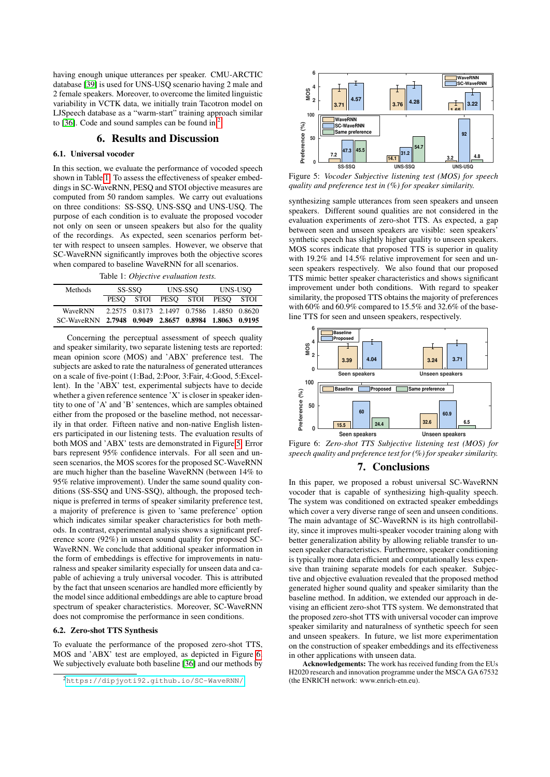having enough unique utterances per speaker. CMU-ARCTIC database [\[39\]](#page-4-38) is used for UNS-USQ scenario having 2 male and 2 female speakers. Moreover, to overcome the limited linguistic variability in VCTK data, we initially train Tacotron model on LJSpeech database as a "warm-start" training approach similar to [\[36\]](#page-4-35). Code and sound samples can be found in  $2$ .

# 6. Results and Discussion

### 6.1. Universal vocoder

In this section, we evaluate the performance of vocoded speech shown in Table [1.](#page-3-1) To assess the effectiveness of speaker embeddings in SC-WaveRNN, PESQ and STOI objective measures are computed from 50 random samples. We carry out evaluations on three conditions: SS-SSQ, UNS-SSQ and UNS-USQ. The purpose of each condition is to evaluate the proposed vocoder not only on seen or unseen speakers but also for the quality of the recordings. As expected, seen scenarios perform better with respect to unseen samples. However, we observe that SC-WaveRNN significantly improves both the objective scores when compared to baseline WaveRNN for all scenarios.

Table 1: *Objective evaluation tests.*

<span id="page-3-1"></span>

| <b>Methods</b>                                       | SS-SSO |  | UNS-SSO |                                           | UNS-USO |  |
|------------------------------------------------------|--------|--|---------|-------------------------------------------|---------|--|
|                                                      |        |  |         | PESO STOI PESO STOI PESO STOI             |         |  |
| <b>WaveRNN</b>                                       |        |  |         | 2.2575 0.8173 2.1497 0.7586 1.4850 0.8620 |         |  |
| SC-WaveRNN 2.7948 0.9049 2.8657 0.8984 1.8063 0.9195 |        |  |         |                                           |         |  |

Concerning the perceptual assessment of speech quality and speaker similarity, two separate listening tests are reported: mean opinion score (MOS) and 'ABX' preference test. The subjects are asked to rate the naturalness of generated utterances on a scale of five-point (1:Bad, 2:Poor, 3:Fair, 4:Good, 5:Excellent). In the 'ABX' test, experimental subjects have to decide whether a given reference sentence 'X' is closer in speaker identity to one of 'A' and 'B' sentences, which are samples obtained either from the proposed or the baseline method, not necessarily in that order. Fifteen native and non-native English listeners participated in our listening tests. The evaluation results of both MOS and 'ABX' tests are demonstrated in Figure [5.](#page-3-2) Error bars represent 95% confidence intervals. For all seen and unseen scenarios, the MOS scores for the proposed SC-WaveRNN are much higher than the baseline WaveRNN (between 14% to 95% relative improvement). Under the same sound quality conditions (SS-SSQ and UNS-SSQ), although, the proposed technique is preferred in terms of speaker similarity preference test, a majority of preference is given to 'same preference' option which indicates similar speaker characteristics for both methods. In contrast, experimental analysis shows a significant preference score (92%) in unseen sound quality for proposed SC-WaveRNN. We conclude that additional speaker information in the form of embeddings is effective for improvements in naturalness and speaker similarity especially for unseen data and capable of achieving a truly universal vocoder. This is attributed by the fact that unseen scenarios are handled more efficiently by the model since additional embeddings are able to capture broad spectrum of speaker characteristics. Moreover, SC-WaveRNN does not compromise the performance in seen conditions.

### 6.2. Zero-shot TTS Synthesis

To evaluate the performance of the proposed zero-shot TTS, MOS and 'ABX' test are employed, as depicted in Figure [6.](#page-3-3) We subjectively evaluate both baseline [\[36\]](#page-4-35) and our methods by

<span id="page-3-2"></span>

Figure 5: *Vocoder Subjective listening test (MOS) for speech quality and preference test in (%) for speaker similarity.*

synthesizing sample utterances from seen speakers and unseen speakers. Different sound qualities are not considered in the evaluation experiments of zero-shot TTS. As expected, a gap between seen and unseen speakers are visible: seen speakers' synthetic speech has slightly higher quality to unseen speakers. MOS scores indicate that proposed TTS is superior in quality with 19.2% and 14.5% relative improvement for seen and unseen speakers respectively. We also found that our proposed TTS mimic better speaker characteristics and shows significant improvement under both conditions. With regard to speaker similarity, the proposed TTS obtains the majority of preferences with 60% and 60.9% compared to 15.5% and 32.6% of the baseline TTS for seen and unseen speakers, respectively.

<span id="page-3-3"></span>

Figure 6: *Zero-shot TTS Subjective listening test (MOS) for speech quality and preference test for (%) for speaker similarity.*

# 7. Conclusions

In this paper, we proposed a robust universal SC-WaveRNN vocoder that is capable of synthesizing high-quality speech. The system was conditioned on extracted speaker embeddings which cover a very diverse range of seen and unseen conditions. The main advantage of SC-WaveRNN is its high controllability, since it improves multi-speaker vocoder training along with better generalization ability by allowing reliable transfer to unseen speaker characteristics. Furthermore, speaker conditioning is typically more data efficient and computationally less expensive than training separate models for each speaker. Subjective and objective evaluation revealed that the proposed method generated higher sound quality and speaker similarity than the baseline method. In addition, we extended our approach in devising an efficient zero-shot TTS system. We demonstrated that the proposed zero-shot TTS with universal vocoder can improve speaker similarity and naturalness of synthetic speech for seen and unseen speakers. In future, we list more experimentation on the construction of speaker embeddings and its effectiveness in other applications with unseen data.

Acknowledgements: The work has received funding from the EUs H2020 research and innovation programme under the MSCA GA 67532 (the ENRICH network: www.enrich-etn.eu).

<span id="page-3-0"></span><sup>2</sup><https://dipjyoti92.github.io/SC-WaveRNN/>